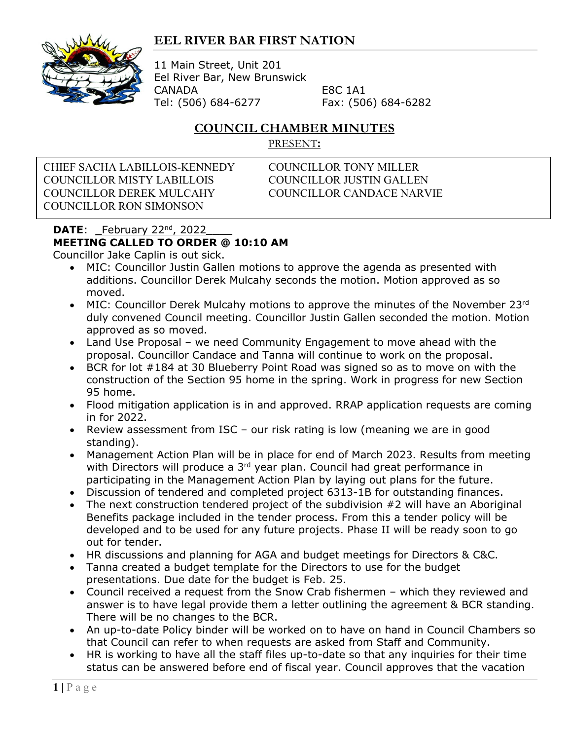## **EEL RIVER BAR FIRST NATION**



11 Main Street, Unit 201 Eel River Bar, New Brunswick CANADA E8C 1A1 Tel: (506) 684-6277 Fax: (506) 684-6282

## **COUNCIL CHAMBER MINUTES**

PRESENT**:**

CHIEF SACHA LABILLOIS-KENNEDY COUNCILLOR TONY MILLER COUNCILLOR MISTY LABILLOIS COUNCILLOR JUSTIN GALLEN COUNCILLOR DEREK MULCAHY COUNCILLOR CANDACE NARVIE COUNCILLOR RON SIMONSON

## **DATE:** \_February 22<sup>nd</sup>, 2022 **MEETING CALLED TO ORDER @ 10:10 AM**

Councillor Jake Caplin is out sick.

- MIC: Councillor Justin Gallen motions to approve the agenda as presented with additions. Councillor Derek Mulcahy seconds the motion. Motion approved as so moved.
- MIC: Councillor Derek Mulcahy motions to approve the minutes of the November  $23^{rd}$ duly convened Council meeting. Councillor Justin Gallen seconded the motion. Motion approved as so moved.
- Land Use Proposal we need Community Engagement to move ahead with the proposal. Councillor Candace and Tanna will continue to work on the proposal.
- BCR for lot #184 at 30 Blueberry Point Road was signed so as to move on with the construction of the Section 95 home in the spring. Work in progress for new Section 95 home.
- Flood mitigation application is in and approved. RRAP application requests are coming in for 2022.
- Review assessment from ISC our risk rating is low (meaning we are in good standing).
- Management Action Plan will be in place for end of March 2023. Results from meeting with Directors will produce a 3<sup>rd</sup> year plan. Council had great performance in participating in the Management Action Plan by laying out plans for the future.
- Discussion of tendered and completed project 6313-1B for outstanding finances.
- The next construction tendered project of the subdivision #2 will have an Aboriginal Benefits package included in the tender process. From this a tender policy will be developed and to be used for any future projects. Phase II will be ready soon to go out for tender.
- HR discussions and planning for AGA and budget meetings for Directors & C&C.
- Tanna created a budget template for the Directors to use for the budget presentations. Due date for the budget is Feb. 25.
- Council received a request from the Snow Crab fishermen which they reviewed and answer is to have legal provide them a letter outlining the agreement & BCR standing. There will be no changes to the BCR.
- An up-to-date Policy binder will be worked on to have on hand in Council Chambers so that Council can refer to when requests are asked from Staff and Community.
- HR is working to have all the staff files up-to-date so that any inquiries for their time status can be answered before end of fiscal year. Council approves that the vacation